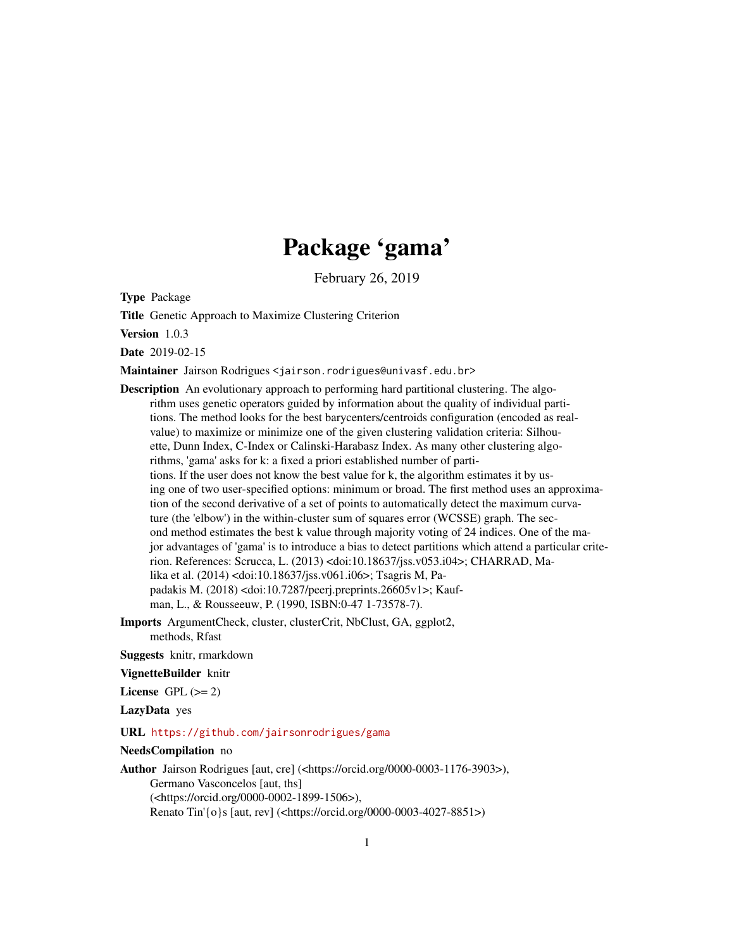# Package 'gama'

February 26, 2019

Type Package

Title Genetic Approach to Maximize Clustering Criterion

Version 1.0.3

Date 2019-02-15

Maintainer Jairson Rodrigues <jairson.rodrigues@univasf.edu.br>

Description An evolutionary approach to performing hard partitional clustering. The algorithm uses genetic operators guided by information about the quality of individual partitions. The method looks for the best barycenters/centroids configuration (encoded as realvalue) to maximize or minimize one of the given clustering validation criteria: Silhouette, Dunn Index, C-Index or Calinski-Harabasz Index. As many other clustering algorithms, 'gama' asks for k: a fixed a priori established number of partitions. If the user does not know the best value for k, the algorithm estimates it by using one of two user-specified options: minimum or broad. The first method uses an approximation of the second derivative of a set of points to automatically detect the maximum curvature (the 'elbow') in the within-cluster sum of squares error (WCSSE) graph. The second method estimates the best k value through majority voting of 24 indices. One of the major advantages of 'gama' is to introduce a bias to detect partitions which attend a particular criterion. References: Scrucca, L. (2013) <doi:10.18637/jss.v053.i04>; CHARRAD, Malika et al. (2014) <doi:10.18637/jss.v061.i06>; Tsagris M, Papadakis M. (2018) <doi:10.7287/peerj.preprints.26605v1>; Kaufman, L., & Rousseeuw, P. (1990, ISBN:0-47 1-73578-7).

Imports ArgumentCheck, cluster, clusterCrit, NbClust, GA, ggplot2, methods, Rfast

Suggests knitr, rmarkdown

VignetteBuilder knitr

License GPL  $(>= 2)$ 

LazyData yes

URL <https://github.com/jairsonrodrigues/gama>

NeedsCompilation no

Author Jairson Rodrigues [aut, cre] (<https://orcid.org/0000-0003-1176-3903>), Germano Vasconcelos [aut, ths] (<https://orcid.org/0000-0002-1899-1506>), Renato Tin'{o}s [aut, rev] (<https://orcid.org/0000-0003-4027-8851>)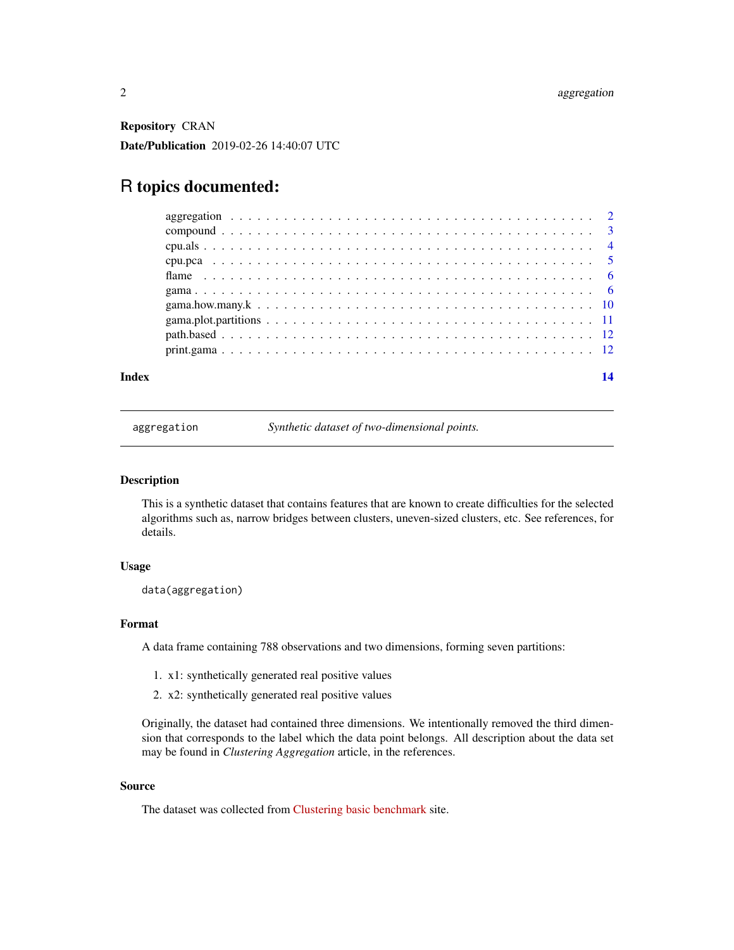<span id="page-1-0"></span>Repository CRAN

Date/Publication 2019-02-26 14:40:07 UTC

## R topics documented:

| Index | 14 |
|-------|----|
|       |    |
|       |    |
|       |    |
|       |    |
|       |    |
|       |    |
|       |    |
|       |    |
|       |    |
|       |    |

aggregation *Synthetic dataset of two-dimensional points.*

#### Description

This is a synthetic dataset that contains features that are known to create difficulties for the selected algorithms such as, narrow bridges between clusters, uneven-sized clusters, etc. See references, for details.

#### Usage

data(aggregation)

#### Format

A data frame containing 788 observations and two dimensions, forming seven partitions:

- 1. x1: synthetically generated real positive values
- 2. x2: synthetically generated real positive values

Originally, the dataset had contained three dimensions. We intentionally removed the third dimension that corresponds to the label which the data point belongs. All description about the data set may be found in *Clustering Aggregation* article, in the references.

#### Source

The dataset was collected from [Clustering basic benchmark](http://cs.joensuu.fi/sipu/datasets/) site.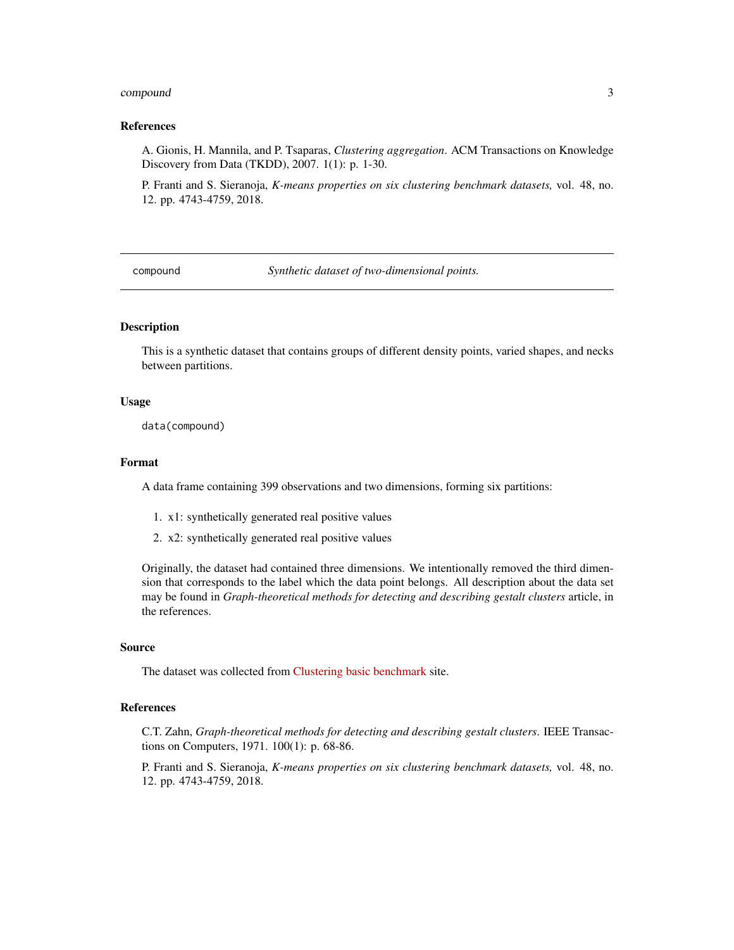#### <span id="page-2-0"></span>compound 3

#### References

A. Gionis, H. Mannila, and P. Tsaparas, *Clustering aggregation*. ACM Transactions on Knowledge Discovery from Data (TKDD), 2007. 1(1): p. 1-30.

P. Franti and S. Sieranoja, *K-means properties on six clustering benchmark datasets,* vol. 48, no. 12. pp. 4743-4759, 2018.

compound *Synthetic dataset of two-dimensional points.*

#### Description

This is a synthetic dataset that contains groups of different density points, varied shapes, and necks between partitions.

#### Usage

data(compound)

#### Format

A data frame containing 399 observations and two dimensions, forming six partitions:

- 1. x1: synthetically generated real positive values
- 2. x2: synthetically generated real positive values

Originally, the dataset had contained three dimensions. We intentionally removed the third dimension that corresponds to the label which the data point belongs. All description about the data set may be found in *Graph-theoretical methods for detecting and describing gestalt clusters* article, in the references.

#### Source

The dataset was collected from [Clustering basic benchmark](http://cs.joensuu.fi/sipu/datasets/) site.

#### References

C.T. Zahn, *Graph-theoretical methods for detecting and describing gestalt clusters*. IEEE Transactions on Computers, 1971. 100(1): p. 68-86.

P. Franti and S. Sieranoja, *K-means properties on six clustering benchmark datasets,* vol. 48, no. 12. pp. 4743-4759, 2018.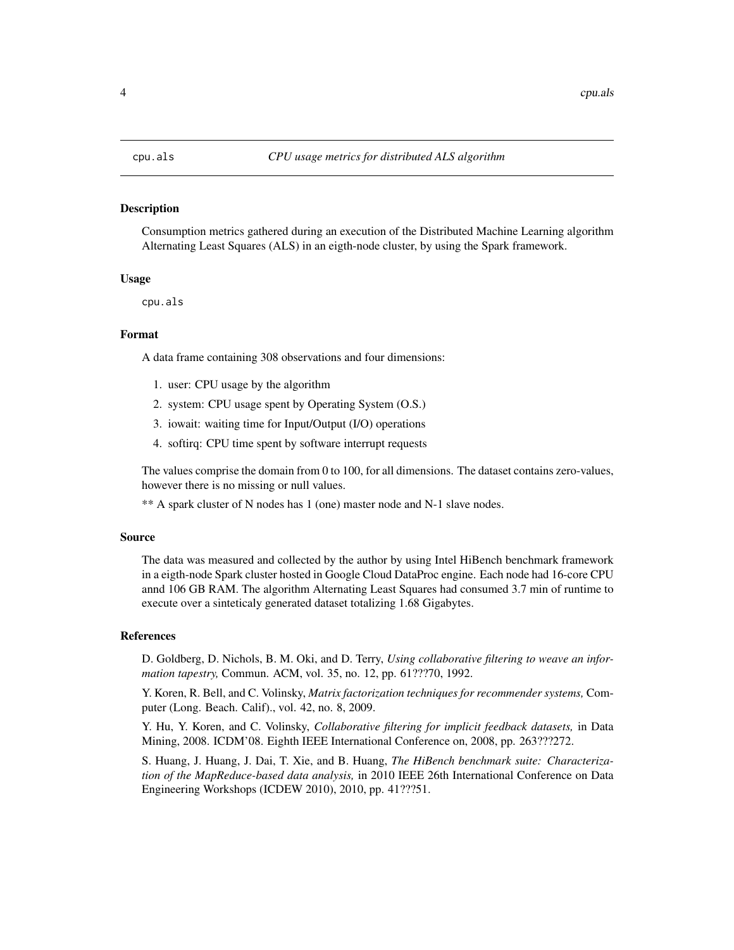<span id="page-3-0"></span>Consumption metrics gathered during an execution of the Distributed Machine Learning algorithm Alternating Least Squares (ALS) in an eigth-node cluster, by using the Spark framework.

#### Usage

cpu.als

#### Format

A data frame containing 308 observations and four dimensions:

- 1. user: CPU usage by the algorithm
- 2. system: CPU usage spent by Operating System (O.S.)
- 3. iowait: waiting time for Input/Output (I/O) operations
- 4. softirq: CPU time spent by software interrupt requests

The values comprise the domain from 0 to 100, for all dimensions. The dataset contains zero-values, however there is no missing or null values.

\*\* A spark cluster of N nodes has 1 (one) master node and N-1 slave nodes.

#### Source

The data was measured and collected by the author by using Intel HiBench benchmark framework in a eigth-node Spark cluster hosted in Google Cloud DataProc engine. Each node had 16-core CPU annd 106 GB RAM. The algorithm Alternating Least Squares had consumed 3.7 min of runtime to execute over a sinteticaly generated dataset totalizing 1.68 Gigabytes.

#### References

D. Goldberg, D. Nichols, B. M. Oki, and D. Terry, *Using collaborative filtering to weave an information tapestry,* Commun. ACM, vol. 35, no. 12, pp. 61???70, 1992.

Y. Koren, R. Bell, and C. Volinsky, *Matrix factorization techniques for recommender systems,* Computer (Long. Beach. Calif)., vol. 42, no. 8, 2009.

Y. Hu, Y. Koren, and C. Volinsky, *Collaborative filtering for implicit feedback datasets,* in Data Mining, 2008. ICDM'08. Eighth IEEE International Conference on, 2008, pp. 263???272.

S. Huang, J. Huang, J. Dai, T. Xie, and B. Huang, *The HiBench benchmark suite: Characterization of the MapReduce-based data analysis,* in 2010 IEEE 26th International Conference on Data Engineering Workshops (ICDEW 2010), 2010, pp. 41???51.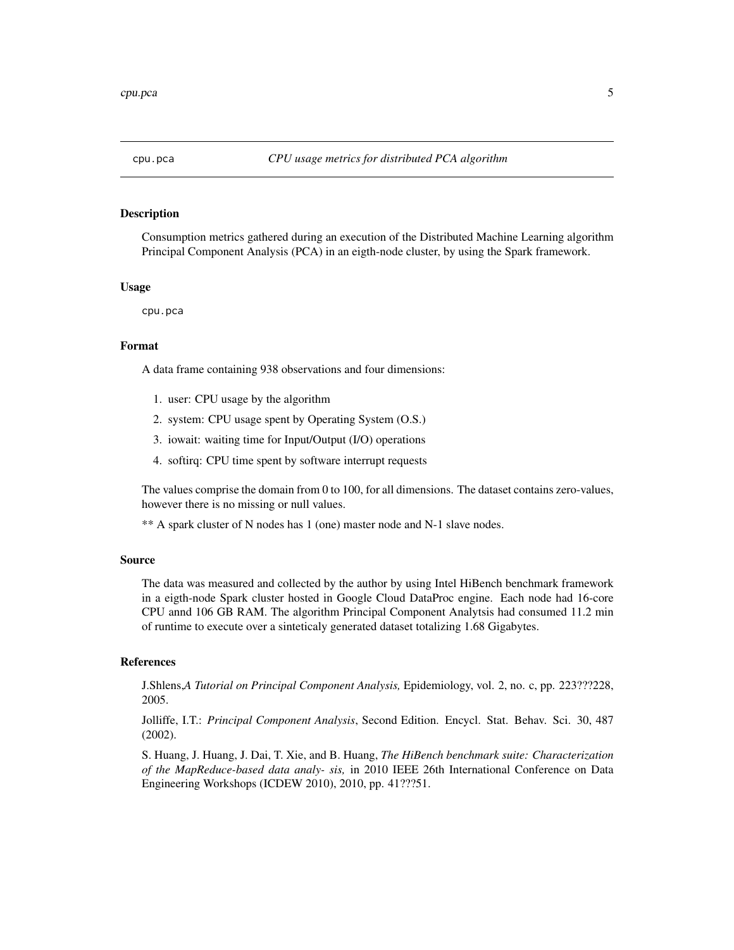<span id="page-4-0"></span>

Consumption metrics gathered during an execution of the Distributed Machine Learning algorithm Principal Component Analysis (PCA) in an eigth-node cluster, by using the Spark framework.

#### Usage

cpu.pca

#### Format

A data frame containing 938 observations and four dimensions:

- 1. user: CPU usage by the algorithm
- 2. system: CPU usage spent by Operating System (O.S.)
- 3. iowait: waiting time for Input/Output (I/O) operations
- 4. softirq: CPU time spent by software interrupt requests

The values comprise the domain from 0 to 100, for all dimensions. The dataset contains zero-values, however there is no missing or null values.

\*\* A spark cluster of N nodes has 1 (one) master node and N-1 slave nodes.

#### Source

The data was measured and collected by the author by using Intel HiBench benchmark framework in a eigth-node Spark cluster hosted in Google Cloud DataProc engine. Each node had 16-core CPU annd 106 GB RAM. The algorithm Principal Component Analytsis had consumed 11.2 min of runtime to execute over a sinteticaly generated dataset totalizing 1.68 Gigabytes.

#### References

J.Shlens,*A Tutorial on Principal Component Analysis,* Epidemiology, vol. 2, no. c, pp. 223???228, 2005.

Jolliffe, I.T.: *Principal Component Analysis*, Second Edition. Encycl. Stat. Behav. Sci. 30, 487 (2002).

S. Huang, J. Huang, J. Dai, T. Xie, and B. Huang, *The HiBench benchmark suite: Characterization of the MapReduce-based data analy- sis,* in 2010 IEEE 26th International Conference on Data Engineering Workshops (ICDEW 2010), 2010, pp. 41???51.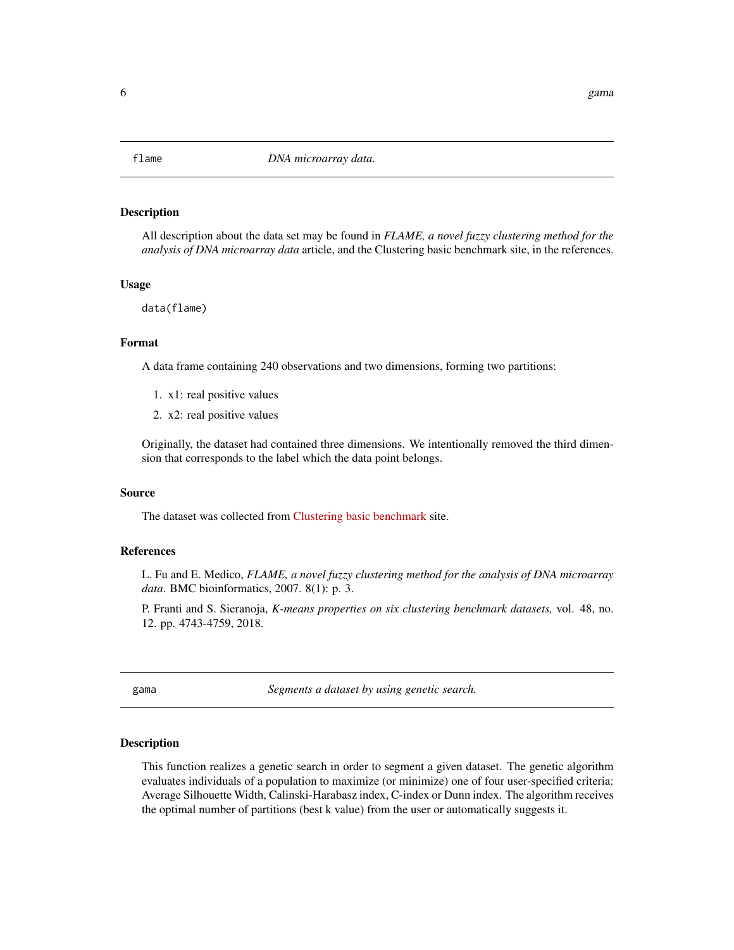<span id="page-5-0"></span>

All description about the data set may be found in *FLAME, a novel fuzzy clustering method for the analysis of DNA microarray data* article, and the Clustering basic benchmark site, in the references.

#### Usage

data(flame)

#### Format

A data frame containing 240 observations and two dimensions, forming two partitions:

- 1. x1: real positive values
- 2. x2: real positive values

Originally, the dataset had contained three dimensions. We intentionally removed the third dimension that corresponds to the label which the data point belongs.

#### Source

The dataset was collected from [Clustering basic benchmark](http://cs.joensuu.fi/sipu/datasets/) site.

#### References

L. Fu and E. Medico, *FLAME, a novel fuzzy clustering method for the analysis of DNA microarray data*. BMC bioinformatics, 2007. 8(1): p. 3.

P. Franti and S. Sieranoja, *K-means properties on six clustering benchmark datasets,* vol. 48, no. 12. pp. 4743-4759, 2018.

<span id="page-5-1"></span>gama *Segments a dataset by using genetic search.*

#### Description

This function realizes a genetic search in order to segment a given dataset. The genetic algorithm evaluates individuals of a population to maximize (or minimize) one of four user-specified criteria: Average Silhouette Width, Calinski-Harabasz index, C-index or Dunn index. The algorithm receives the optimal number of partitions (best k value) from the user or automatically suggests it.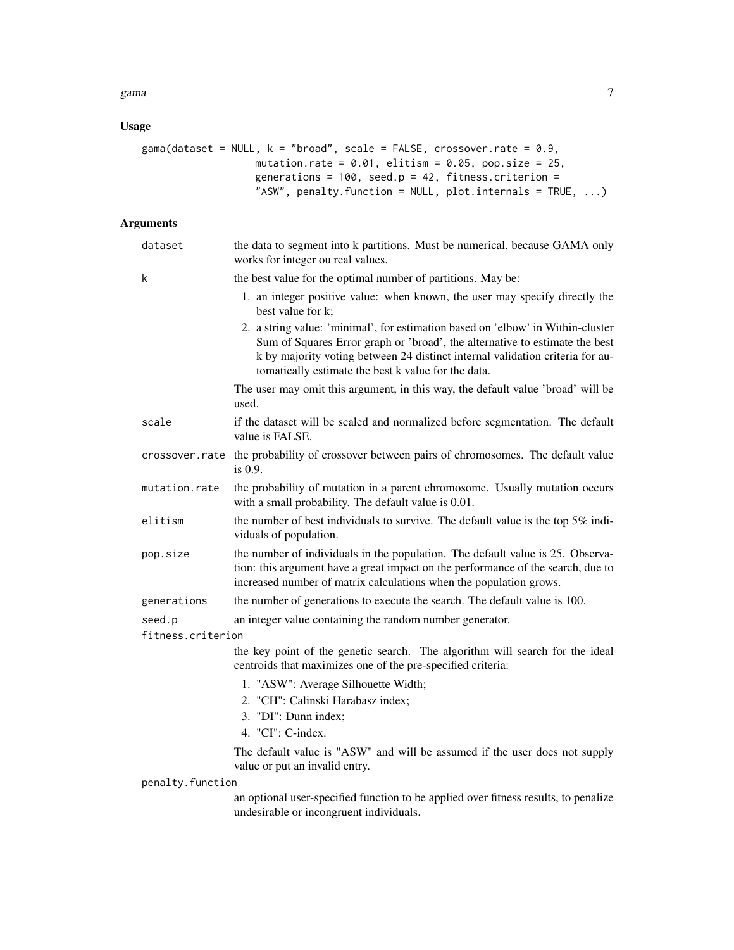#### gama  $\sim$  7

## Usage

```
gama(dataset = NULL, k = "broad", scale = FALSE, crossover.rate = 0.9,
                   mutation.rate = 0.01, elitism = 0.05, pop.size = 25,
                  generations = 100, seed.p = 42, fitness.criterion =
                   "ASW", penalty.function = NULL, plot.internals = TRUE, ...)
```
#### Arguments

| dataset           | the data to segment into k partitions. Must be numerical, because GAMA only<br>works for integer ou real values.                                                                                                                                                                                       |
|-------------------|--------------------------------------------------------------------------------------------------------------------------------------------------------------------------------------------------------------------------------------------------------------------------------------------------------|
| k                 | the best value for the optimal number of partitions. May be:                                                                                                                                                                                                                                           |
|                   | 1. an integer positive value: when known, the user may specify directly the<br>best value for k;                                                                                                                                                                                                       |
|                   | 2. a string value: 'minimal', for estimation based on 'elbow' in Within-cluster<br>Sum of Squares Error graph or 'broad', the alternative to estimate the best<br>k by majority voting between 24 distinct internal validation criteria for au-<br>tomatically estimate the best k value for the data. |
|                   | The user may omit this argument, in this way, the default value 'broad' will be<br>used.                                                                                                                                                                                                               |
| scale             | if the dataset will be scaled and normalized before segmentation. The default<br>value is FALSE.                                                                                                                                                                                                       |
|                   | crossover.rate the probability of crossover between pairs of chromosomes. The default value<br>is 0.9.                                                                                                                                                                                                 |
| mutation.rate     | the probability of mutation in a parent chromosome. Usually mutation occurs<br>with a small probability. The default value is 0.01.                                                                                                                                                                    |
| elitism           | the number of best individuals to survive. The default value is the top $5\%$ indi-<br>viduals of population.                                                                                                                                                                                          |
| pop.size          | the number of individuals in the population. The default value is 25. Observa-<br>tion: this argument have a great impact on the performance of the search, due to<br>increased number of matrix calculations when the population grows.                                                               |
| generations       | the number of generations to execute the search. The default value is 100.                                                                                                                                                                                                                             |
| seed.p            | an integer value containing the random number generator.                                                                                                                                                                                                                                               |
| fitness.criterion |                                                                                                                                                                                                                                                                                                        |
|                   | the key point of the genetic search. The algorithm will search for the ideal<br>centroids that maximizes one of the pre-specified criteria:                                                                                                                                                            |
|                   | 1. "ASW": Average Silhouette Width;                                                                                                                                                                                                                                                                    |
|                   | 2. "CH": Calinski Harabasz index;                                                                                                                                                                                                                                                                      |
|                   | 3. "DI": Dunn index;                                                                                                                                                                                                                                                                                   |
|                   | 4. "CI": C-index.                                                                                                                                                                                                                                                                                      |
|                   | The default value is "ASW" and will be assumed if the user does not supply<br>value or put an invalid entry.                                                                                                                                                                                           |
| penalty.function  |                                                                                                                                                                                                                                                                                                        |
|                   | an optional user-specified function to be applied over fitness results, to penalize<br>undesirable or incongruent individuals.                                                                                                                                                                         |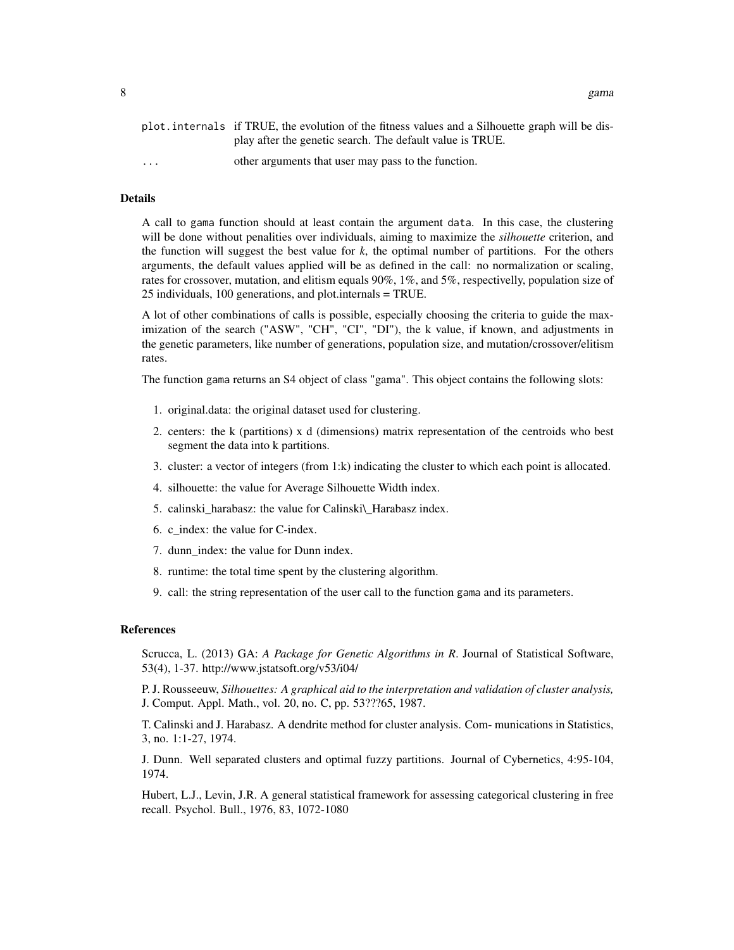8 gama waxaa gama wadanka iyo soo gama waxaa gama wadanka iyo soo gama wadanka iyo soo gama gama gama gama wax

|                         | plot. internals if TRUE, the evolution of the fitness values and a Silhouette graph will be dis- |
|-------------------------|--------------------------------------------------------------------------------------------------|
|                         | play after the genetic search. The default value is TRUE.                                        |
| $\cdot$ $\cdot$ $\cdot$ | other arguments that user may pass to the function.                                              |

#### Details

A call to gama function should at least contain the argument data. In this case, the clustering will be done without penalities over individuals, aiming to maximize the *silhouette* criterion, and the function will suggest the best value for  $k$ , the optimal number of partitions. For the others arguments, the default values applied will be as defined in the call: no normalization or scaling, rates for crossover, mutation, and elitism equals 90%, 1%, and 5%, respectivelly, population size of 25 individuals, 100 generations, and plot.internals = TRUE.

A lot of other combinations of calls is possible, especially choosing the criteria to guide the maximization of the search ("ASW", "CH", "CI", "DI"), the k value, if known, and adjustments in the genetic parameters, like number of generations, population size, and mutation/crossover/elitism rates.

The function gama returns an S4 object of class "gama". This object contains the following slots:

- 1. original.data: the original dataset used for clustering.
- 2. centers: the k (partitions) x d (dimensions) matrix representation of the centroids who best segment the data into k partitions.
- 3. cluster: a vector of integers (from 1:k) indicating the cluster to which each point is allocated.
- 4. silhouette: the value for Average Silhouette Width index.
- 5. calinski\_harabasz: the value for Calinski\\_Harabasz index.
- 6. c\_index: the value for C-index.
- 7. dunn\_index: the value for Dunn index.
- 8. runtime: the total time spent by the clustering algorithm.
- 9. call: the string representation of the user call to the function gama and its parameters.

#### References

Scrucca, L. (2013) GA: *A Package for Genetic Algorithms in R*. Journal of Statistical Software, 53(4), 1-37. http://www.jstatsoft.org/v53/i04/

P. J. Rousseeuw, *Silhouettes: A graphical aid to the interpretation and validation of cluster analysis,* J. Comput. Appl. Math., vol. 20, no. C, pp. 53???65, 1987.

T. Calinski and J. Harabasz. A dendrite method for cluster analysis. Com- munications in Statistics, 3, no. 1:1-27, 1974.

J. Dunn. Well separated clusters and optimal fuzzy partitions. Journal of Cybernetics, 4:95-104, 1974.

Hubert, L.J., Levin, J.R. A general statistical framework for assessing categorical clustering in free recall. Psychol. Bull., 1976, 83, 1072-1080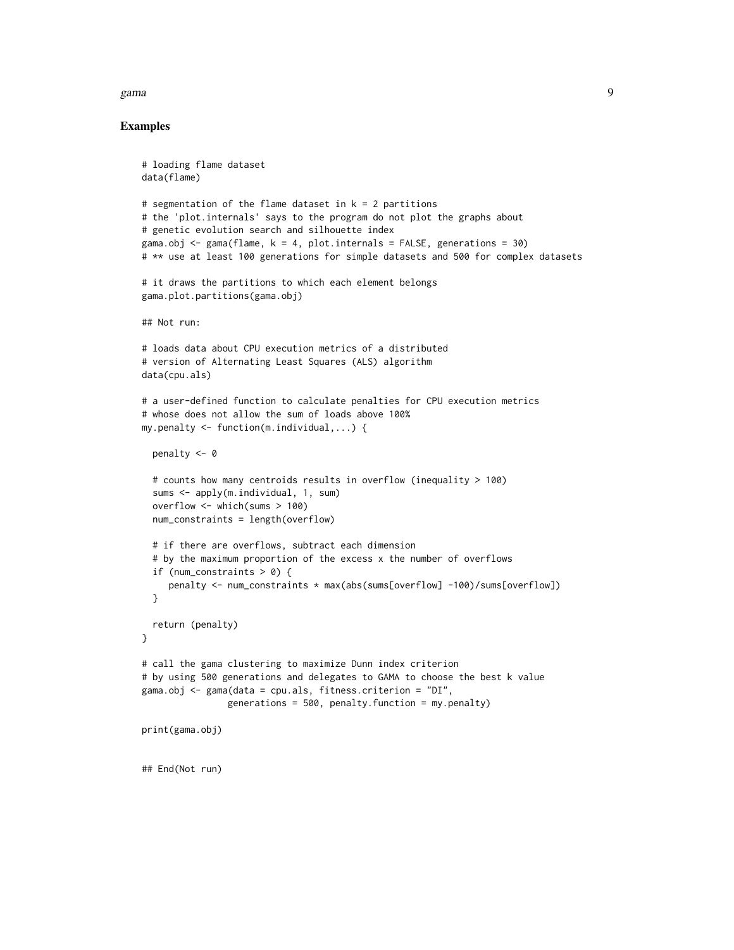#### gama 9

#### Examples

```
# loading flame dataset
data(flame)
# segmentation of the flame dataset in k = 2 partitions
# the 'plot.internals' says to the program do not plot the graphs about
# genetic evolution search and silhouette index
gama.obj \leq gama(flame, k = 4, plot.internals = FALSE, generations = 30)
# ** use at least 100 generations for simple datasets and 500 for complex datasets
# it draws the partitions to which each element belongs
gama.plot.partitions(gama.obj)
## Not run:
# loads data about CPU execution metrics of a distributed
# version of Alternating Least Squares (ALS) algorithm
data(cpu.als)
# a user-defined function to calculate penalties for CPU execution metrics
# whose does not allow the sum of loads above 100%
my.penalty <- function(m.individual,...) {
 penalty <- 0
 # counts how many centroids results in overflow (inequality > 100)
 sums <- apply(m.individual, 1, sum)
 overflow <- which(sums > 100)
 num_constraints = length(overflow)
 # if there are overflows, subtract each dimension
 # by the maximum proportion of the excess x the number of overflows
 if (num_constraints > 0) {
     penalty <- num_constraints * max(abs(sums[overflow] -100)/sums[overflow])
 }
 return (penalty)
}
# call the gama clustering to maximize Dunn index criterion
# by using 500 generations and delegates to GAMA to choose the best k value
gama.obj <- gama(data = cpu.als, fitness.criterion = "DI",
                generations = 500, penalty.function = my.penalty)
print(gama.obj)
## End(Not run)
```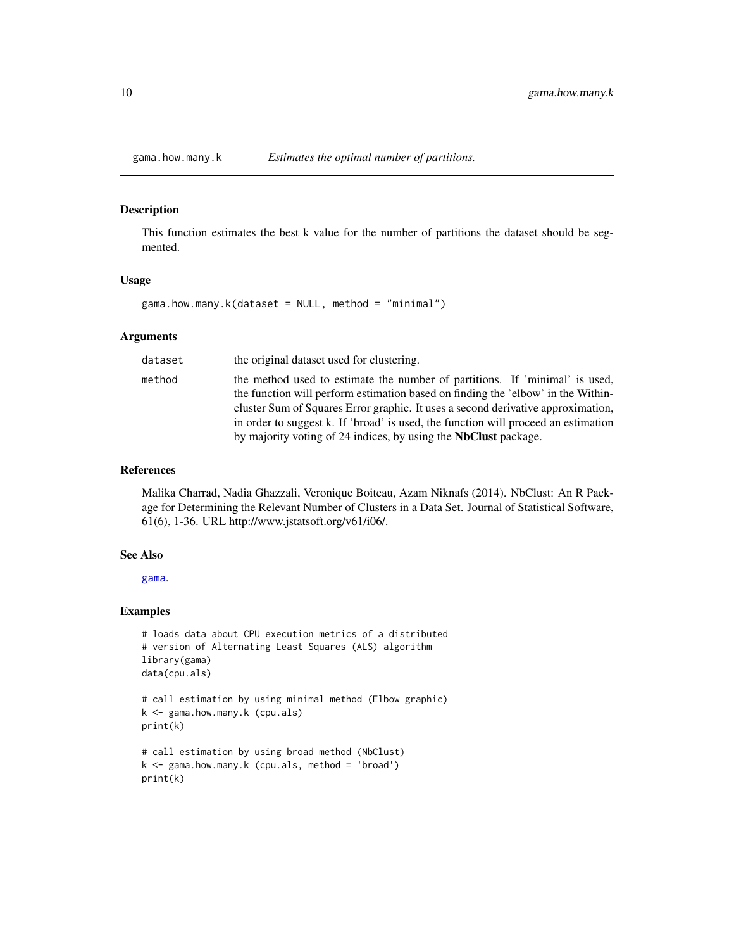<span id="page-9-0"></span>

This function estimates the best k value for the number of partitions the dataset should be segmented.

#### Usage

gama.how.many.k(dataset = NULL, method = "minimal")

#### Arguments

| dataset | the original dataset used for clustering.                                                                                                                       |
|---------|-----------------------------------------------------------------------------------------------------------------------------------------------------------------|
| method  | the method used to estimate the number of partitions. If 'minimal' is used,<br>the function will perform estimation based on finding the 'elbow' in the Within- |
|         | cluster Sum of Squares Error graphic. It uses a second derivative approximation,                                                                                |
|         | in order to suggest k. If 'broad' is used, the function will proceed an estimation                                                                              |
|         | by majority voting of 24 indices, by using the <b>NbClust</b> package.                                                                                          |

#### References

Malika Charrad, Nadia Ghazzali, Veronique Boiteau, Azam Niknafs (2014). NbClust: An R Package for Determining the Relevant Number of Clusters in a Data Set. Journal of Statistical Software, 61(6), 1-36. URL http://www.jstatsoft.org/v61/i06/.

#### See Also

[gama](#page-5-1).

#### Examples

```
# loads data about CPU execution metrics of a distributed
# version of Alternating Least Squares (ALS) algorithm
library(gama)
data(cpu.als)
# call estimation by using minimal method (Elbow graphic)
k <- gama.how.many.k (cpu.als)
print(k)
# call estimation by using broad method (NbClust)
k <- gama.how.many.k (cpu.als, method = 'broad')
print(k)
```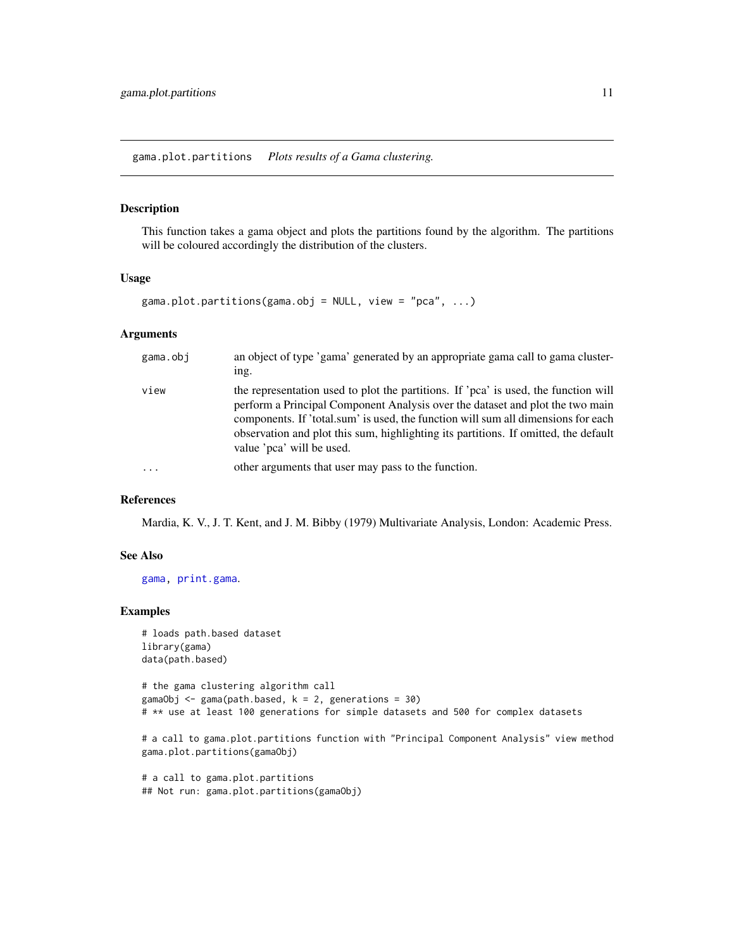<span id="page-10-1"></span><span id="page-10-0"></span>gama.plot.partitions *Plots results of a Gama clustering.*

#### Description

This function takes a gama object and plots the partitions found by the algorithm. The partitions will be coloured accordingly the distribution of the clusters.

#### Usage

```
gama.plot.partitions(gama.obj = NULL, view = "pca", ...)
```
#### Arguments

| gama.obj | an object of type 'gama' generated by an appropriate gama call to gama cluster-<br>ing.                                                                                                                                                                                                                                                                                       |
|----------|-------------------------------------------------------------------------------------------------------------------------------------------------------------------------------------------------------------------------------------------------------------------------------------------------------------------------------------------------------------------------------|
| view     | the representation used to plot the partitions. If 'pca' is used, the function will<br>perform a Principal Component Analysis over the dataset and plot the two main<br>components. If 'total.sum' is used, the function will sum all dimensions for each<br>observation and plot this sum, highlighting its partitions. If omitted, the default<br>value 'pca' will be used. |
| $\cdots$ | other arguments that user may pass to the function.                                                                                                                                                                                                                                                                                                                           |

#### References

Mardia, K. V., J. T. Kent, and J. M. Bibby (1979) Multivariate Analysis, London: Academic Press.

#### See Also

[gama,](#page-5-1) [print.gama](#page-11-1).

#### Examples

```
# loads path.based dataset
library(gama)
data(path.based)
```
# the gama clustering algorithm call gamaObj  $\leq$  gama(path.based,  $k = 2$ , generations = 30) # \*\* use at least 100 generations for simple datasets and 500 for complex datasets

# a call to gama.plot.partitions function with "Principal Component Analysis" view method gama.plot.partitions(gamaObj)

# a call to gama.plot.partitions ## Not run: gama.plot.partitions(gamaObj)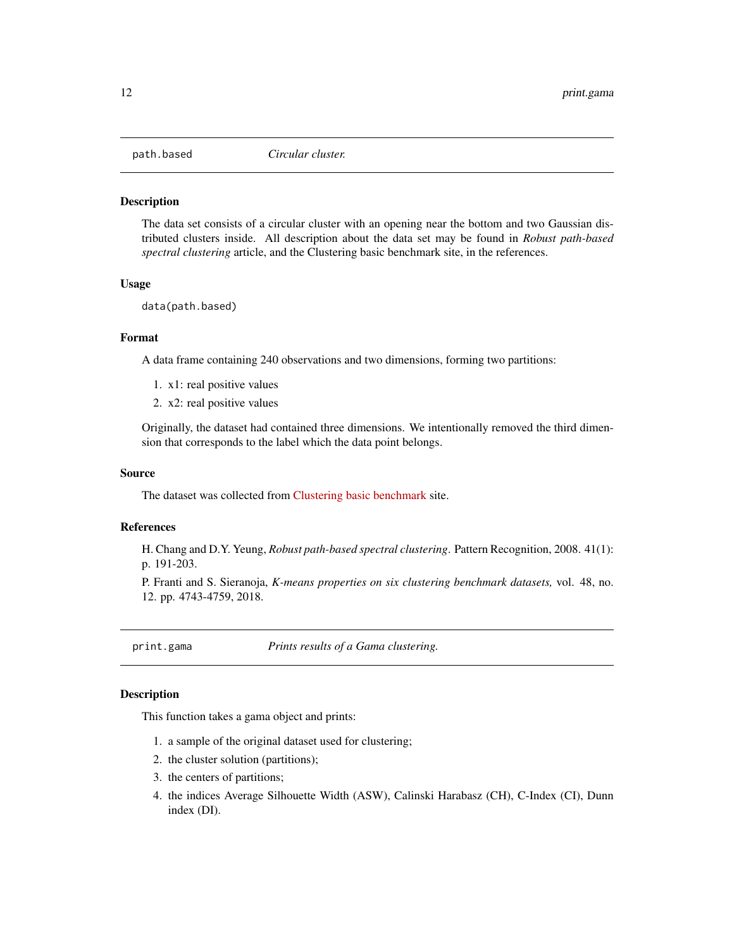<span id="page-11-0"></span>

The data set consists of a circular cluster with an opening near the bottom and two Gaussian distributed clusters inside. All description about the data set may be found in *Robust path-based spectral clustering* article, and the Clustering basic benchmark site, in the references.

#### Usage

data(path.based)

#### Format

A data frame containing 240 observations and two dimensions, forming two partitions:

- 1. x1: real positive values
- 2. x2: real positive values

Originally, the dataset had contained three dimensions. We intentionally removed the third dimension that corresponds to the label which the data point belongs.

#### Source

The dataset was collected from [Clustering basic benchmark](http://cs.joensuu.fi/sipu/datasets/) site.

#### References

H. Chang and D.Y. Yeung, *Robust path-based spectral clustering*. Pattern Recognition, 2008. 41(1): p. 191-203.

P. Franti and S. Sieranoja, *K-means properties on six clustering benchmark datasets,* vol. 48, no. 12. pp. 4743-4759, 2018.

<span id="page-11-1"></span>print.gama *Prints results of a Gama clustering.*

#### **Description**

This function takes a gama object and prints:

- 1. a sample of the original dataset used for clustering;
- 2. the cluster solution (partitions);
- 3. the centers of partitions;
- 4. the indices Average Silhouette Width (ASW), Calinski Harabasz (CH), C-Index (CI), Dunn index (DI).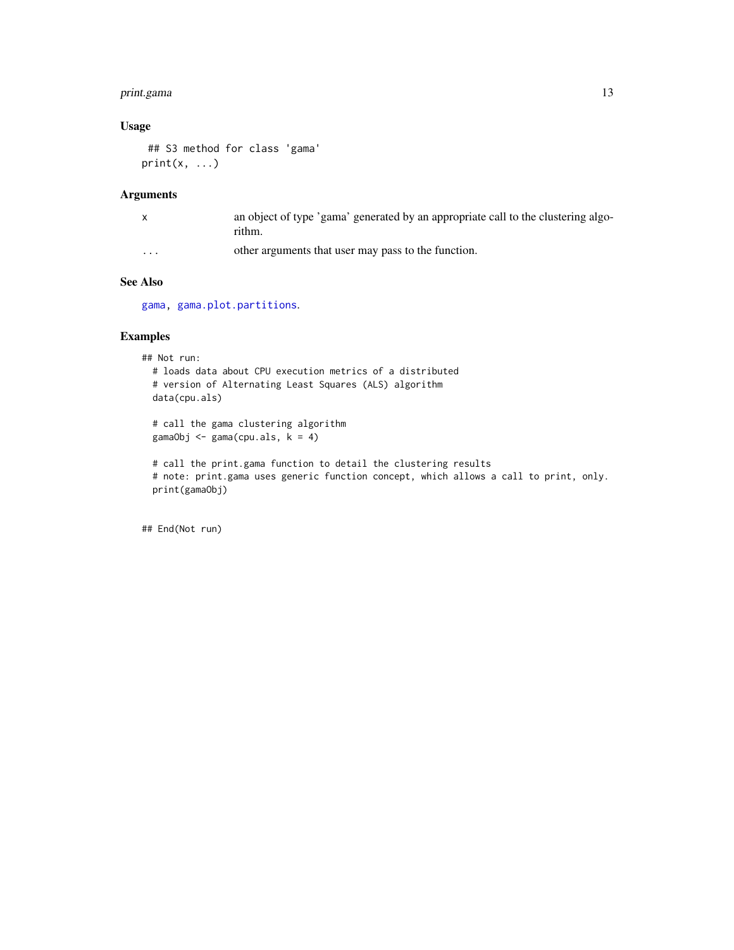#### <span id="page-12-0"></span>print.gama 13

### Usage

## S3 method for class 'gama'  $print(x, \ldots)$ 

#### Arguments

|                         | an object of type 'gama' generated by an appropriate call to the clustering algo-<br>rithm. |
|-------------------------|---------------------------------------------------------------------------------------------|
| $\cdot$ $\cdot$ $\cdot$ | other arguments that user may pass to the function.                                         |

#### See Also

[gama,](#page-5-1) [gama.plot.partitions](#page-10-1).

#### Examples

## Not run: # loads data about CPU execution metrics of a distributed # version of Alternating Least Squares (ALS) algorithm data(cpu.als) # call the gama clustering algorithm gamaObj  $\leq$  gama(cpu.als,  $k = 4$ ) # call the print.gama function to detail the clustering results # note: print.gama uses generic function concept, which allows a call to print, only. print(gamaObj)

## End(Not run)